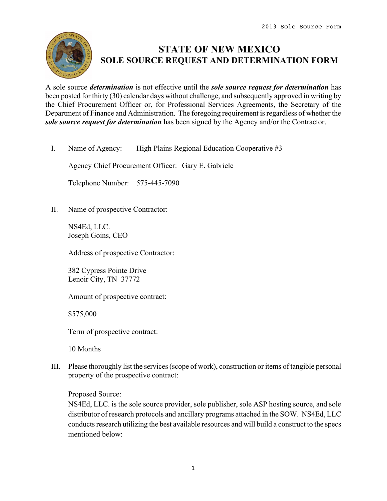

# **STATE OF NEW MEXICO SOLE SOURCE REQUEST AND DETERMINATION FORM**

A sole source *determination* is not effective until the *sole source request for determination* has been posted for thirty (30) calendar days without challenge, and subsequently approved in writing by the Chief Procurement Officer or, for Professional Services Agreements, the Secretary of the Department of Finance and Administration. The foregoing requirement is regardless of whether the *sole source request for determination* has been signed by the Agency and/or the Contractor.

I. Name of Agency: High Plains Regional Education Cooperative #3

Agency Chief Procurement Officer: Gary E. Gabriele

Telephone Number: 575-445-7090

II. Name of prospective Contractor:

NS4Ed, LLC. Joseph Goins, CEO

Address of prospective Contractor:

382 Cypress Pointe Drive Lenoir City, TN 37772

Amount of prospective contract:

\$575,000

Term of prospective contract:

10 Months

III. Please thoroughly list the services (scope of work), construction or items of tangible personal property of the prospective contract:

Proposed Source:

NS4Ed, LLC. is the sole source provider, sole publisher, sole ASP hosting source, and sole distributor of research protocols and ancillary programs attached in the SOW. NS4Ed, LLC conducts research utilizing the best available resources and will build a construct to the specs mentioned below: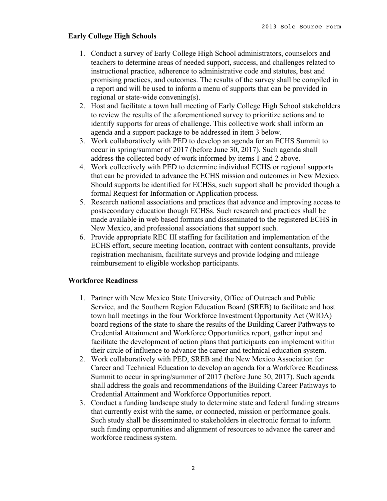## **Early College High Schools**

- 1. Conduct a survey of Early College High School administrators, counselors and teachers to determine areas of needed support, success, and challenges related to instructional practice, adherence to administrative code and statutes, best and promising practices, and outcomes. The results of the survey shall be compiled in a report and will be used to inform a menu of supports that can be provided in regional or state-wide convening(s).
- 2. Host and facilitate a town hall meeting of Early College High School stakeholders to review the results of the aforementioned survey to prioritize actions and to identify supports for areas of challenge. This collective work shall inform an agenda and a support package to be addressed in item 3 below.
- 3. Work collaboratively with PED to develop an agenda for an ECHS Summit to occur in spring/summer of 2017 (before June 30, 2017). Such agenda shall address the collected body of work informed by items 1 and 2 above.
- 4. Work collectively with PED to determine individual ECHS or regional supports that can be provided to advance the ECHS mission and outcomes in New Mexico. Should supports be identified for ECHSs, such support shall be provided though a formal Request for Information or Application process.
- 5. Research national associations and practices that advance and improving access to postsecondary education though ECHSs. Such research and practices shall be made available in web based formats and disseminated to the registered ECHS in New Mexico, and professional associations that support such.
- 6. Provide appropriate REC III staffing for facilitation and implementation of the ECHS effort, secure meeting location, contract with content consultants, provide registration mechanism, facilitate surveys and provide lodging and mileage reimbursement to eligible workshop participants.

## **Workforce Readiness**

- 1. Partner with New Mexico State University, Office of Outreach and Public Service, and the Southern Region Education Board (SREB) to facilitate and host town hall meetings in the four Workforce Investment Opportunity Act (WIOA) board regions of the state to share the results of the Building Career Pathways to Credential Attainment and Workforce Opportunities report, gather input and facilitate the development of action plans that participants can implement within their circle of influence to advance the career and technical education system.
- 2. Work collaboratively with PED, SREB and the New Mexico Association for Career and Technical Education to develop an agenda for a Workforce Readiness Summit to occur in spring/summer of 2017 (before June 30, 2017). Such agenda shall address the goals and recommendations of the Building Career Pathways to Credential Attainment and Workforce Opportunities report.
- 3. Conduct a funding landscape study to determine state and federal funding streams that currently exist with the same, or connected, mission or performance goals. Such study shall be disseminated to stakeholders in electronic format to inform such funding opportunities and alignment of resources to advance the career and workforce readiness system.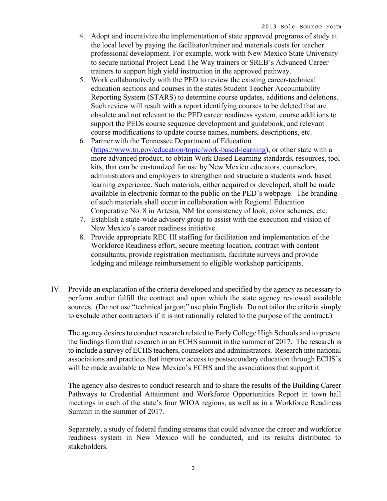- 4. Adopt and incentivize the implementation of state approved programs of study at the local level by paying the facilitator/trainer and materials costs for teacher professional development. For example, work with New Mexico State University to secure national Project Lead The Way trainers or SREB's Advanced Career trainers to support high yield instruction in the approved pathway.
- 5. Work collaboratively with the PED to review the existing career-technical education sections and courses in the states Student Teacher Accountability Reporting System (STARS) to determine course updates, additions and deletions. Such review will result with a report identifying courses to be deleted that are obsolete and not relevant to the PED career readiness system, course additions to support the PEDs course sequence development and guidebook, and relevant course modifications to update course names, numbers, descriptions, etc.
- 6. Partner with the Tennessee Department of Education (https://www.tn.gov/education/topic/work-based-learning), or other state with a more advanced product, to obtain Work Based Learning standards, resources, tool kits, that can be customized for use by New Mexico educators, counselors, administrators and employers to strengthen and structure a students work based learning experience. Such materials, either acquired or developed, shall be made available in electronic format to the public on the PED's webpage. The branding of such materials shall occur in collaboration with Regional Education Cooperative No. 8 in Artesia, NM for consistency of look, color schemes, etc.
- 7. Establish a state-wide advisory group to assist with the execution and vision of New Mexico's career readiness initiative.
- 8. Provide appropriate REC III staffing for facilitation and implementation of the Workforce Readiness effort, secure meeting location, contract with content consultants, provide registration mechanism, facilitate surveys and provide lodging and mileage reimbursement to eligible workshop participants.
- IV. Provide an explanation of the criteria developed and specified by the agency as necessary to perform and/or fulfill the contract and upon which the state agency reviewed available sources. (Do not use "technical jargon;" use plain English. Do not tailor the criteria simply to exclude other contractors if it is not rationally related to the purpose of the contract.)

The agency desires to conduct research related to Early College High Schools and to present the findings from that research in an ECHS summit in the summer of 2017. The research is to include a survey of ECHS teachers, counselors and administrators. Research into national associations and practices that improve access to postsecondary education through ECHS's will be made available to New Mexico's ECHS and the associations that support it.

The agency also desires to conduct research and to share the results of the Building Career Pathways to Credential Attainment and Workforce Opportunities Report in town hall meetings in each of the state's four WIOA regions, as well as in a Workforce Readiness Summit in the summer of 2017.

Separately, a study of federal funding streams that could advance the career and workforce readiness system in New Mexico will be conducted, and its results distributed to stakeholders.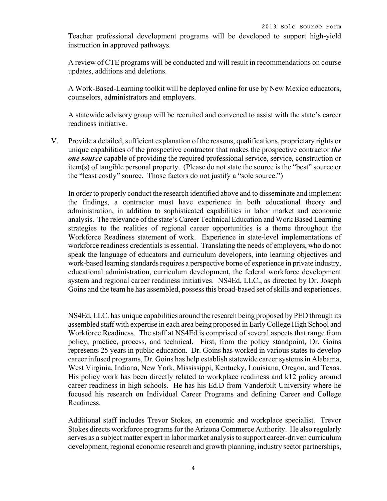Teacher professional development programs will be developed to support high-yield instruction in approved pathways.

A review of CTE programs will be conducted and will result in recommendations on course updates, additions and deletions.

A Work-Based-Learning toolkit will be deployed online for use by New Mexico educators, counselors, administrators and employers.

A statewide advisory group will be recruited and convened to assist with the state's career readiness initiative.

V. Provide a detailed, sufficient explanation of the reasons, qualifications, proprietary rights or unique capabilities of the prospective contractor that makes the prospective contractor *the one source* capable of providing the required professional service, service, construction or item(s) of tangible personal property. (Please do not state the source is the "best" source or the "least costly" source. Those factors do not justify a "sole source.")

In order to properly conduct the research identified above and to disseminate and implement the findings, a contractor must have experience in both educational theory and administration, in addition to sophisticated capabilities in labor market and economic analysis. The relevance of the state's Career Technical Education and Work Based Learning strategies to the realities of regional career opportunities is a theme throughout the Workforce Readiness statement of work. Experience in state-level implementations of workforce readiness credentials is essential. Translating the needs of employers, who do not speak the language of educators and curriculum developers, into learning objectives and work-based learning standards requires a perspective borne of experience in private industry, educational administration, curriculum development, the federal workforce development system and regional career readiness initiatives. NS4Ed, LLC., as directed by Dr. Joseph Goins and the team he has assembled, possess this broad-based set of skills and experiences.

NS4Ed, LLC. has unique capabilities around the research being proposed by PED through its assembled staff with expertise in each area being proposed in Early College High School and Workforce Readiness. The staff at NS4Ed is comprised of several aspects that range from policy, practice, process, and technical. First, from the policy standpoint, Dr. Goins represents 25 years in public education. Dr. Goins has worked in various states to develop career infused programs, Dr. Goins has help establish statewide career systems in Alabama, West Virginia, Indiana, New York, Mississippi, Kentucky, Louisiana, Oregon, and Texas. His policy work has been directly related to workplace readiness and k12 policy around career readiness in high schools. He has his Ed.D from Vanderbilt University where he focused his research on Individual Career Programs and defining Career and College Readiness.

Additional staff includes Trevor Stokes, an economic and workplace specialist. Trevor Stokes directs workforce programs for the Arizona Commerce Authority. He also regularly serves as a subject matter expert in labor market analysis to support career-driven curriculum development, regional economic research and growth planning, industry sector partnerships,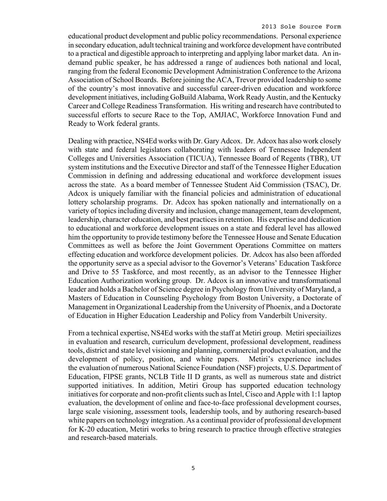educational product development and public policy recommendations. Personal experience in secondary education, adult technical training and workforce development have contributed to a practical and digestible approach to interpreting and applying labor market data. An indemand public speaker, he has addressed a range of audiences both national and local, ranging from the federal Economic Development Administration Conference to the Arizona Association of School Boards. Before joining the ACA, Trevor provided leadership to some of the country's most innovative and successful career-driven education and workforce development initiatives, including GoBuild Alabama, Work Ready Austin, and the Kentucky Career and College Readiness Transformation. His writing and research have contributed to successful efforts to secure Race to the Top, AMJIAC, Workforce Innovation Fund and Ready to Work federal grants.

Dealing with practice, NS4Ed works with Dr. Gary Adcox. Dr. Adcox has also work closely with state and federal legislators collaborating with leaders of Tennessee Independent Colleges and Universities Association (TICUA), Tennessee Board of Regents (TBR), UT system institutions and the Executive Director and staff of the Tennessee Higher Education Commission in defining and addressing educational and workforce development issues across the state. As a board member of Tennessee Student Aid Commission (TSAC), Dr. Adcox is uniquely familiar with the financial policies and administration of educational lottery scholarship programs. Dr. Adcox has spoken nationally and internationally on a variety of topics including diversity and inclusion, change management, team development, leadership, character education, and best practices in retention. His expertise and dedication to educational and workforce development issues on a state and federal level has allowed him the opportunity to provide testimony before the Tennessee House and Senate Education Committees as well as before the Joint Government Operations Committee on matters effecting education and workforce development policies. Dr. Adcox has also been afforded the opportunity serve as a special advisor to the Governor's Veterans' Education Taskforce and Drive to 55 Taskforce, and most recently, as an advisor to the Tennessee Higher Education Authorization working group. Dr. Adcox is an innovative and transformational leader and holds a Bachelor of Science degree in Psychology from University of Maryland, a Masters of Education in Counseling Psychology from Boston University, a Doctorate of Management in Organizational Leadership from the University of Phoenix, and a Doctorate of Education in Higher Education Leadership and Policy from Vanderbilt University.

From a technical expertise, NS4Ed works with the staff at Metiri group. Metiri speciailizes in evaluation and research, curriculum development, professional development, readiness tools, district and state level visioning and planning, commercial product evaluation, and the development of policy, position, and white papers. Metiri's experience includes the evaluation of numerous National Science Foundation (NSF) projects, U.S. Department of Education, FIPSE grants, NCLB Title II D grants, as well as numerous state and district supported initiatives. In addition, Metiri Group has supported education technology initiatives for corporate and non-profit clients such as Intel, Cisco and Apple with 1:1 laptop evaluation, the development of online and face-to-face professional development courses, large scale visioning, assessment tools, leadership tools, and by authoring research-based white papers on technology integration. As a continual provider of professional development for K-20 education, Metiri works to bring research to practice through effective strategies and research-based materials.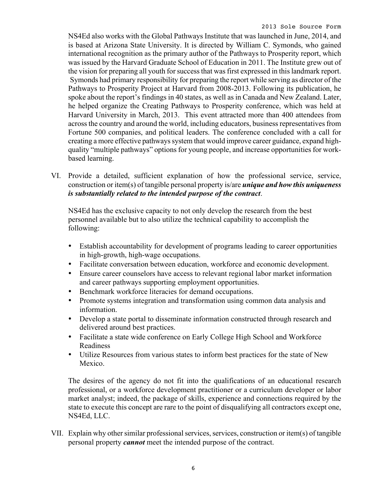NS4Ed also works with the Global Pathways Institute that was launched in June, 2014, and is based at Arizona State University. It is directed by William C. Symonds, who gained international recognition as the primary author of the Pathways to Prosperity report, which was issued by the Harvard Graduate School of Education in 2011. The Institute grew out of the vision for preparing all youth for success that was first expressed in this landmark report. Symonds had primary responsibility for preparing the report while serving as director of the Pathways to Prosperity Project at Harvard from 2008-2013. Following its publication, he spoke about the report's findings in 40 states, as well as in Canada and New Zealand. Later, he helped organize the Creating Pathways to Prosperity conference, which was held at Harvard University in March, 2013. This event attracted more than 400 attendees from across the country and around the world, including educators, business representatives from Fortune 500 companies, and political leaders. The conference concluded with a call for creating a more effective pathways system that would improve career guidance, expand highquality "multiple pathways" options for young people, and increase opportunities for workbased learning.

VI. Provide a detailed, sufficient explanation of how the professional service, service, construction or item(s) of tangible personal property is/are *unique and how this uniqueness is substantially related to the intended purpose of the contract*.

NS4Ed has the exclusive capacity to not only develop the research from the best personnel available but to also utilize the technical capability to accomplish the following:

- Establish accountability for development of programs leading to career opportunities in high-growth, high-wage occupations.
- Facilitate conversation between education, workforce and economic development.
- Ensure career counselors have access to relevant regional labor market information and career pathways supporting employment opportunities.
- Benchmark workforce literacies for demand occupations.
- Promote systems integration and transformation using common data analysis and information.
- Develop a state portal to disseminate information constructed through research and delivered around best practices.
- Facilitate a state wide conference on Early College High School and Workforce Readiness
- Utilize Resources from various states to inform best practices for the state of New Mexico.

The desires of the agency do not fit into the qualifications of an educational research professional, or a workforce development practitioner or a curriculum developer or labor market analyst; indeed, the package of skills, experience and connections required by the state to execute this concept are rare to the point of disqualifying all contractors except one, NS4Ed, LLC.

VII. Explain why other similar professional services, services, construction or item(s) of tangible personal property *cannot* meet the intended purpose of the contract.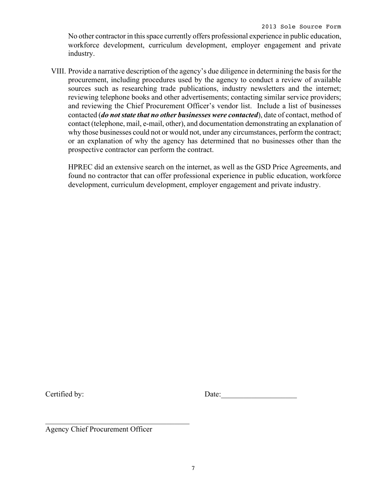No other contractor in this space currently offers professional experience in public education, workforce development, curriculum development, employer engagement and private industry.

VIII. Provide a narrative description of the agency's due diligence in determining the basis for the procurement, including procedures used by the agency to conduct a review of available sources such as researching trade publications, industry newsletters and the internet; reviewing telephone books and other advertisements; contacting similar service providers; and reviewing the Chief Procurement Officer's vendor list. Include a list of businesses contacted (*do not state that no other businesses were contacted*), date of contact, method of contact (telephone, mail, e-mail, other), and documentation demonstrating an explanation of why those businesses could not or would not, under any circumstances, perform the contract; or an explanation of why the agency has determined that no businesses other than the prospective contractor can perform the contract.

HPREC did an extensive search on the internet, as well as the GSD Price Agreements, and found no contractor that can offer professional experience in public education, workforce development, curriculum development, employer engagement and private industry.

Certified by: Date:

Agency Chief Procurement Officer

 $\mathcal{L}_\text{max}$  and  $\mathcal{L}_\text{max}$  and  $\mathcal{L}_\text{max}$  and  $\mathcal{L}_\text{max}$